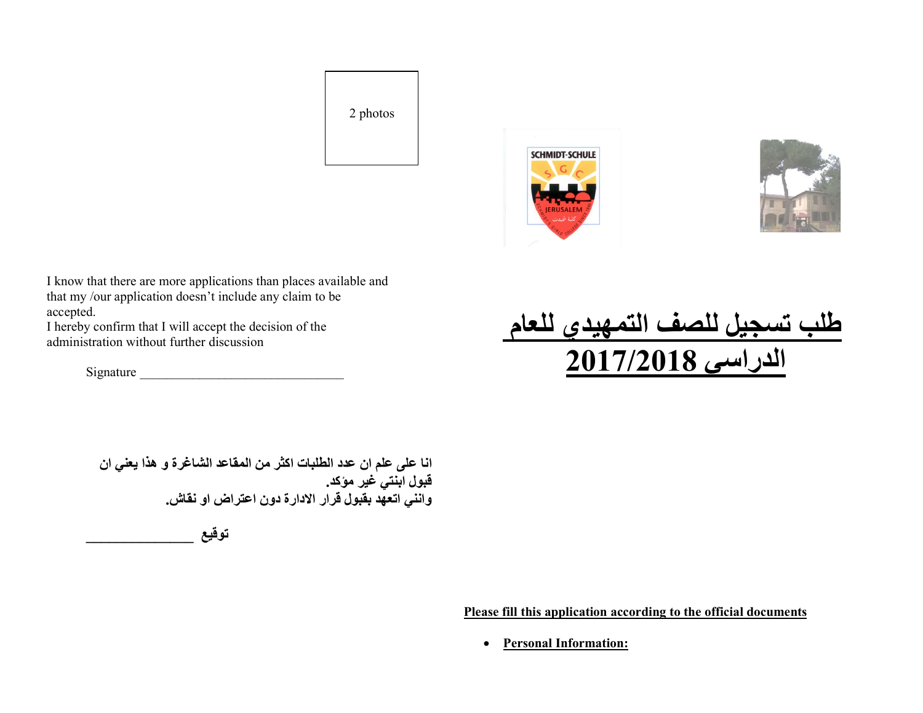2 photos





I know that there are more applications than places available and that my /our application doesn't include any claim to be accepted.

I hereby confirm that I will accept the decision of the administration without further discussion

Signature  $\Box$ 

طلب تسجيل للصف التمهيدي للعام الدراسي 2017/2018

انا على علم ان عدد الطلبات اكثر من المقاعد الشاغرة و هذا يعني ان قبول ابنتي غير مؤكد. وانني اتعهد بقبول قرار الادارة دون اعتراض او نقاش .

توقيع \_\_\_\_\_\_\_\_\_\_\_\_\_\_

Please fill this application according to the official documents

Personal Information: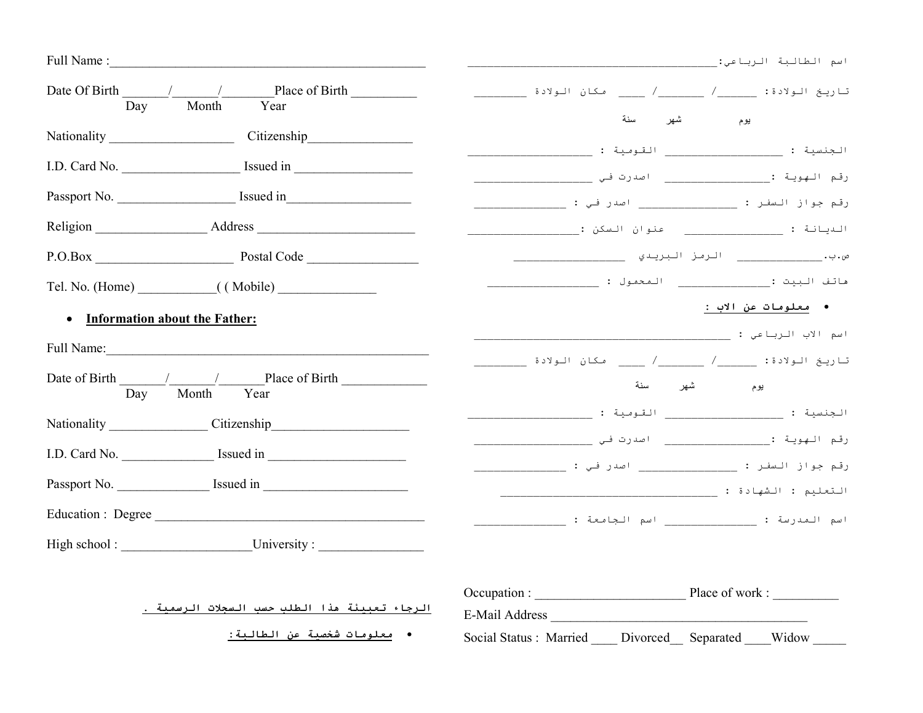|                                                                                                                                                                                                                                                                                                                                                                                                                                         | اسم الطالبة الرباعي:                                               |
|-----------------------------------------------------------------------------------------------------------------------------------------------------------------------------------------------------------------------------------------------------------------------------------------------------------------------------------------------------------------------------------------------------------------------------------------|--------------------------------------------------------------------|
| Date Of Birth $\frac{1}{\sqrt{1-\frac{1}{\sqrt{1-\frac{1}{\sqrt{1-\frac{1}{\sqrt{1-\frac{1}{\sqrt{1-\frac{1}{\sqrt{1-\frac{1}{\sqrt{1-\frac{1}{\sqrt{1-\frac{1}{\sqrt{1-\frac{1}{\sqrt{1-\frac{1}{\sqrt{1-\frac{1}{\sqrt{1-\frac{1}{\sqrt{1-\frac{1}{\sqrt{1-\frac{1}{\sqrt{1-\frac{1}{\sqrt{1-\frac{1}{\sqrt{1-\frac{1}{\sqrt{1-\frac{1}{\sqrt{1-\frac{1}{\sqrt{1-\frac{1}{\sqrt{1-\frac{1}{\sqrt{1-\frac{1}{\sqrt{$<br>Day Month Year |                                                                    |
| Nationality Citizenship                                                                                                                                                                                                                                                                                                                                                                                                                 | سنة<br>يوم شهر                                                     |
|                                                                                                                                                                                                                                                                                                                                                                                                                                         | الجنسية : التومية : القومية :                                      |
|                                                                                                                                                                                                                                                                                                                                                                                                                                         |                                                                    |
|                                                                                                                                                                                                                                                                                                                                                                                                                                         |                                                                    |
|                                                                                                                                                                                                                                                                                                                                                                                                                                         |                                                                    |
|                                                                                                                                                                                                                                                                                                                                                                                                                                         |                                                                    |
| • Information about the Father:                                                                                                                                                                                                                                                                                                                                                                                                         | ●   معلومات عن الاب :                                              |
| Full Name:                                                                                                                                                                                                                                                                                                                                                                                                                              |                                                                    |
| Date of Birth / / Place of Birth<br>Day Month Year                                                                                                                                                                                                                                                                                                                                                                                      | سنة<br>شهر<br>يوم                                                  |
|                                                                                                                                                                                                                                                                                                                                                                                                                                         | الجنسية : التقومية : القومية :                                     |
|                                                                                                                                                                                                                                                                                                                                                                                                                                         | رقم جواز السفر : ________________ اصدر في : __________________     |
| Passport No. Simulation issued in                                                                                                                                                                                                                                                                                                                                                                                                       |                                                                    |
| Education : Degree                                                                                                                                                                                                                                                                                                                                                                                                                      | اسم الـمـدرسة :                           اسم الـجـامـعـة :        |
| High school: University:                                                                                                                                                                                                                                                                                                                                                                                                                |                                                                    |
| الرجاء تعبيئة هذا الطلب حسب السجلات الرسمية .<br>•   معلومات شخصية عن الطالبة:                                                                                                                                                                                                                                                                                                                                                          | E-Mail Address<br>Social Status : Married Divorced Separated Widow |
|                                                                                                                                                                                                                                                                                                                                                                                                                                         |                                                                    |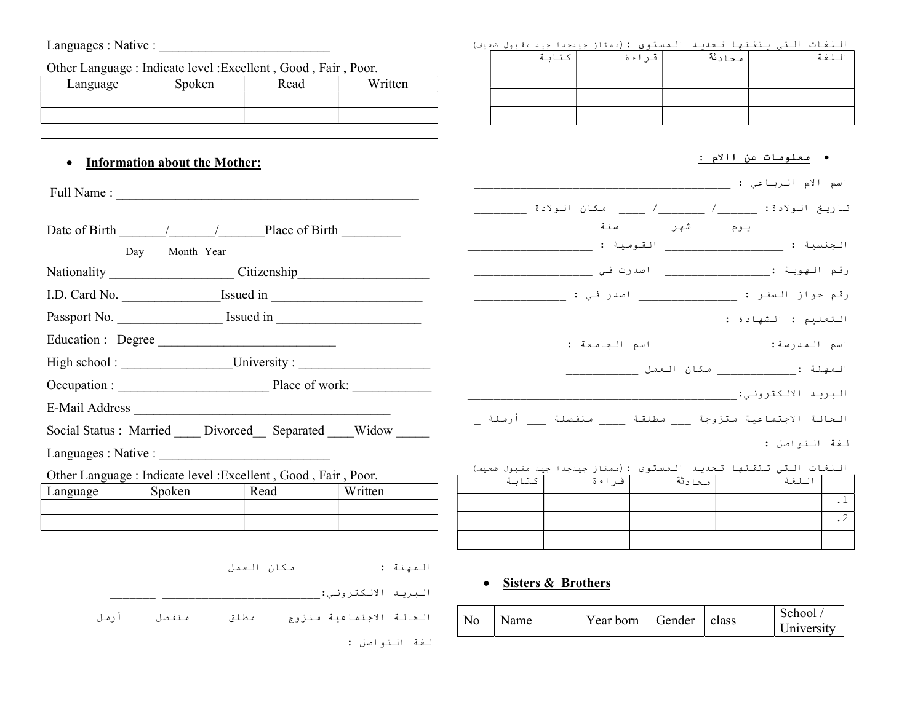# Languages : Native : \_\_\_\_\_\_\_\_\_\_\_\_\_\_\_\_\_\_\_\_\_\_\_\_\_\_

| Other Language : Indicate level : Excellent, Good, Fair, Poor. |  |  |
|----------------------------------------------------------------|--|--|
|                                                                |  |  |

| Language | Spoken | Read | Written |
|----------|--------|------|---------|
|          |        |      |         |
|          |        |      |         |
|          |        |      |         |

## • Information about the Mother:

|                                                                                                                                                                                                                                                                                                                                                                                         |                | Date of Birth $\frac{1}{\sqrt{1-\frac{1}{2}}}\frac{1}{\sqrt{1-\frac{1}{2}}}\frac{1}{\sqrt{1-\frac{1}{2}}}\frac{1}{\sqrt{1-\frac{1}{2}}}\frac{1}{\sqrt{1-\frac{1}{2}}}\frac{1}{\sqrt{1-\frac{1}{2}}}\frac{1}{\sqrt{1-\frac{1}{2}}}\frac{1}{\sqrt{1-\frac{1}{2}}}\frac{1}{\sqrt{1-\frac{1}{2}}}\frac{1}{\sqrt{1-\frac{1}{2}}}\frac{1}{\sqrt{1-\frac{1}{2}}}\frac{1}{\sqrt{1-\frac{1}{2}}}\frac{1}{\sqrt{1-\frac{1}{$ |
|-----------------------------------------------------------------------------------------------------------------------------------------------------------------------------------------------------------------------------------------------------------------------------------------------------------------------------------------------------------------------------------------|----------------|--------------------------------------------------------------------------------------------------------------------------------------------------------------------------------------------------------------------------------------------------------------------------------------------------------------------------------------------------------------------------------------------------------------------|
|                                                                                                                                                                                                                                                                                                                                                                                         | Day Month Year |                                                                                                                                                                                                                                                                                                                                                                                                                    |
|                                                                                                                                                                                                                                                                                                                                                                                         |                | Nationality _________________________Citizenship________________________________                                                                                                                                                                                                                                                                                                                                   |
|                                                                                                                                                                                                                                                                                                                                                                                         |                | I.D. Card No. ______________________Issued in __________________________________                                                                                                                                                                                                                                                                                                                                   |
|                                                                                                                                                                                                                                                                                                                                                                                         |                |                                                                                                                                                                                                                                                                                                                                                                                                                    |
| Education: Degree                                                                                                                                                                                                                                                                                                                                                                       |                |                                                                                                                                                                                                                                                                                                                                                                                                                    |
|                                                                                                                                                                                                                                                                                                                                                                                         |                | High school: _________________________University: ______________________________                                                                                                                                                                                                                                                                                                                                   |
|                                                                                                                                                                                                                                                                                                                                                                                         |                |                                                                                                                                                                                                                                                                                                                                                                                                                    |
|                                                                                                                                                                                                                                                                                                                                                                                         |                |                                                                                                                                                                                                                                                                                                                                                                                                                    |
|                                                                                                                                                                                                                                                                                                                                                                                         |                | Social Status: Married ____ Divorced ___ Separated ____ Widow _____                                                                                                                                                                                                                                                                                                                                                |
| Languages: Native : $\frac{1}{\sqrt{1-\frac{1}{2}}}\left\{ \frac{1}{2} + \frac{1}{2} + \frac{1}{2} + \frac{1}{2} + \frac{1}{2} + \frac{1}{2} + \frac{1}{2} + \frac{1}{2} + \frac{1}{2} + \frac{1}{2} + \frac{1}{2} + \frac{1}{2} + \frac{1}{2} + \frac{1}{2} + \frac{1}{2} + \frac{1}{2} + \frac{1}{2} + \frac{1}{2} + \frac{1}{2} + \frac{1}{2} + \frac{1}{2} + \frac{1}{2} + \frac{1$ |                |                                                                                                                                                                                                                                                                                                                                                                                                                    |
| Other Language : Indicate level : Excellent , Good , Fair , Poor.                                                                                                                                                                                                                                                                                                                       |                |                                                                                                                                                                                                                                                                                                                                                                                                                    |
| Language   Spoken   Read                                                                                                                                                                                                                                                                                                                                                                |                | Written                                                                                                                                                                                                                                                                                                                                                                                                            |
|                                                                                                                                                                                                                                                                                                                                                                                         |                |                                                                                                                                                                                                                                                                                                                                                                                                                    |
|                                                                                                                                                                                                                                                                                                                                                                                         |                |                                                                                                                                                                                                                                                                                                                                                                                                                    |

|                                                     | ____ مـكان الـعمل __ |                    | المهنة :      |
|-----------------------------------------------------|----------------------|--------------------|---------------|
|                                                     |                      | البريد الالكتروني: |               |
| الحالة الاجتماعية متزوج ___ مطلق ___ منفصل ___ أرمل |                      |                    |               |
|                                                     |                      |                    | لغة التواصل : |

اللغات التي يتقنها تحديد المستوى :(ممتاز جيدجدا جيد مقبول ضعيف)

| كتابة | قراءة | محادثة | للغة |
|-------|-------|--------|------|
|       |       |        |      |
|       |       |        |      |
|       |       |        |      |

#### معلومات عن االام :

|       |           |                 | اسم الام الرباعي :                                                      |           |
|-------|-----------|-----------------|-------------------------------------------------------------------------|-----------|
|       |           |                 | -<br>تاريخ الولادة: ______/ _______/ ______ مكان الولادة                |           |
|       |           | شهر سنة         | يوم                                                                     |           |
|       | القومية : |                 |                                                                         |           |
|       |           |                 | رقم الـهويـة :_______________________ اصدرت فـي ____                    |           |
|       |           |                 | رقم جواز السفر : ____________________ اصدر فـي : __                     |           |
|       |           |                 | التعليم : الشهادة : _____                                               |           |
|       |           |                 | اسم المدرسة: _____________________ اسم الجامعة :                        |           |
|       |           |                 | الـمهنة :__________________ مـكان الـعمل ____                           |           |
|       |           |                 | البريد الالكتروني: _____                                                |           |
|       |           |                 | الحالة الاجتماعية متزوجة ____ مطلقة _____ منفصلة ____ أرملة _           |           |
|       |           |                 | لغة التواصل : ___                                                       |           |
|       |           |                 | <u>اللغات التي تتقنها تحديد المستوى : (ممتاز جيدجدا جيد مقبول ضعيف)</u> |           |
| كتابة |           | أصحادثة أقـراءة | اللغة                                                                   |           |
|       |           |                 |                                                                         | $\cdot$ 1 |
|       |           |                 |                                                                         | $\cdot$ 2 |

• Sisters & Brothers

| No | Name | Year born | Gender | class | School<br>University |
|----|------|-----------|--------|-------|----------------------|
|----|------|-----------|--------|-------|----------------------|